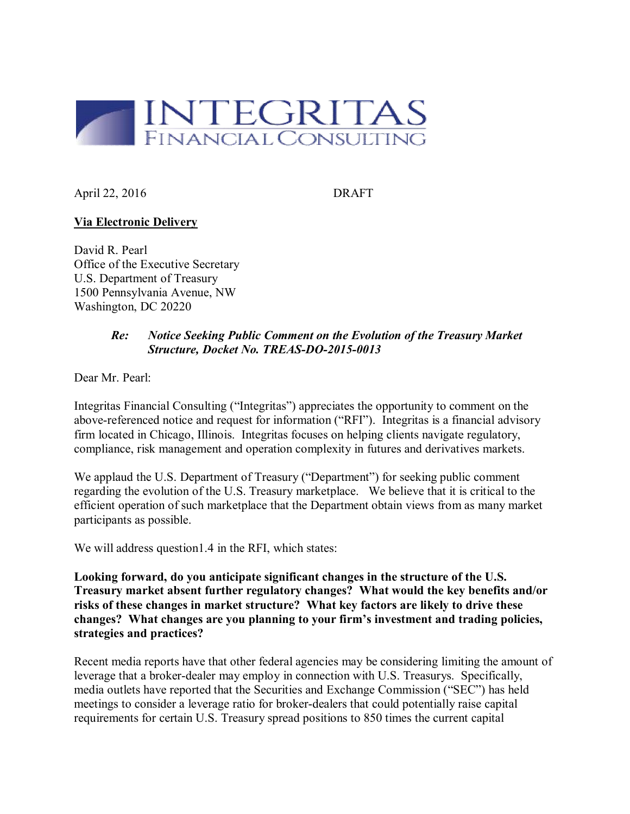

April 22, 2016 DRAFT

## **Via Electronic Delivery**

David R. Pearl Office of the Executive Secretary U.S. Department of Treasury 1500 Pennsylvania Avenue, NW Washington, DC 20220

## *Re: Notice Seeking Public Comment on the Evolution of the Treasury Market Structure, Docket No. TREAS-DO-2015-0013*

Dear Mr. Pearl:

Integritas Financial Consulting ("Integritas") appreciates the opportunity to comment on the above-referenced notice and request for information ("RFI"). Integritas is a financial advisory firm located in Chicago, Illinois. Integritas focuses on helping clients navigate regulatory, compliance, risk management and operation complexity in futures and derivatives markets.

We applaud the U.S. Department of Treasury ("Department") for seeking public comment regarding the evolution of the U.S. Treasury marketplace. We believe that it is critical to the efficient operation of such marketplace that the Department obtain views from as many market participants as possible.

We will address question1.4 in the RFI, which states:

**Looking forward, do you anticipate significant changes in the structure of the U.S. Treasury market absent further regulatory changes? What would the key benefits and/or risks of these changes in market structure? What key factors are likely to drive these changes? What changes are you planning to your firm's investment and trading policies, strategies and practices?**

Recent media reports have that other federal agencies may be considering limiting the amount of leverage that a broker-dealer may employ in connection with U.S. Treasurys. Specifically, media outlets have reported that the Securities and Exchange Commission ("SEC") has held meetings to consider a leverage ratio for broker-dealers that could potentially raise capital requirements for certain U.S. Treasury spread positions to 850 times the current capital